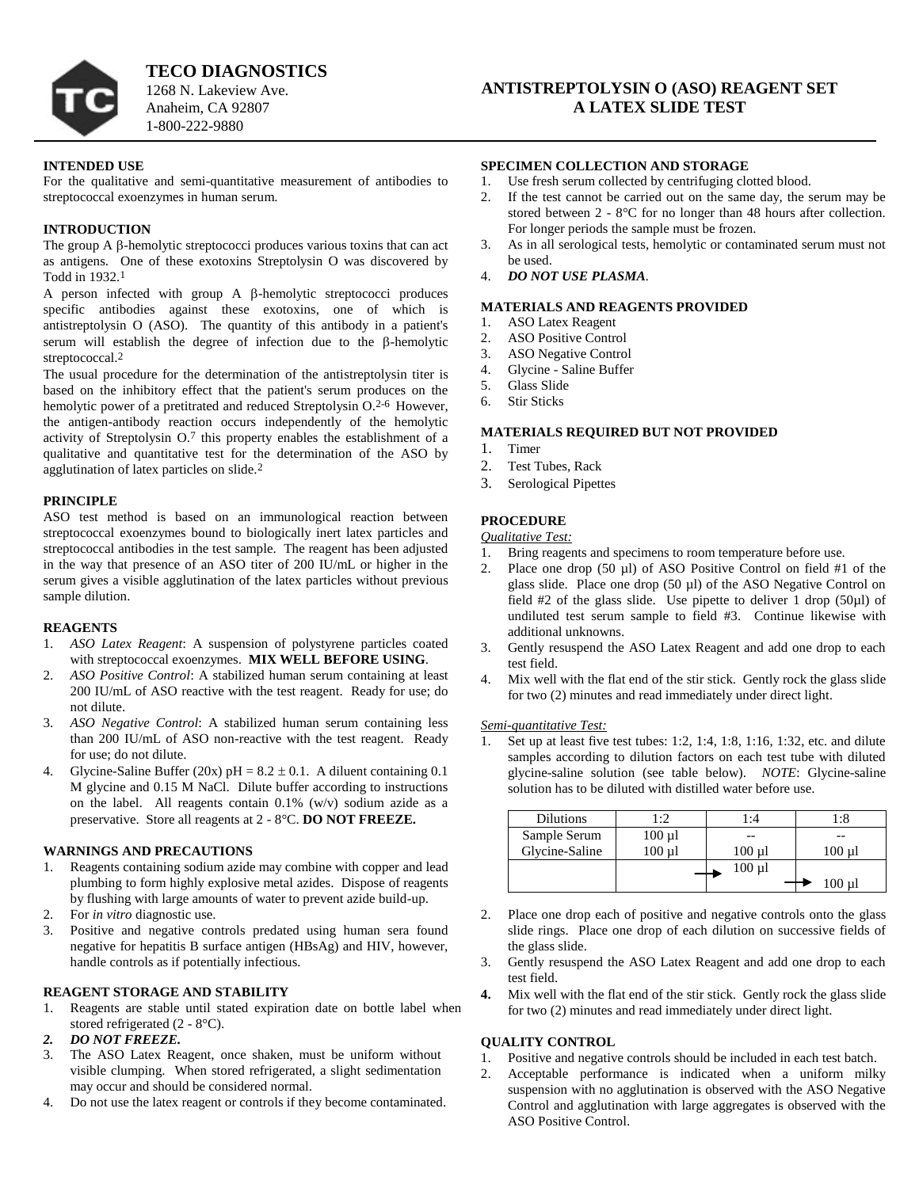

**TECO DIAGNOSTICS** 1268 N. Lakeview Ave. Anaheim, CA 92807 1-800-222-9880

# **ANTISTREPTOLYSIN O (ASO) REAGENT SET A LATEX SLIDE TEST**

### **INTENDED USE**

For the qualitative and semi-quantitative measurement of antibodies to streptococcal exoenzymes in human serum.

### **INTRODUCTION**

The group  $A \beta$ -hemolytic streptococci produces various toxins that can act as antigens. One of these exotoxins Streptolysin O was discovered by Todd in 1932.1

A person infected with group A  $\beta$ -hemolytic streptococci produces specific antibodies against these exotoxins, one of which is antistreptolysin O (ASO). The quantity of this antibody in a patient's serum will establish the degree of infection due to the  $\beta$ -hemolytic streptococcal.<sup>2</sup>

The usual procedure for the determination of the antistreptolysin titer is based on the inhibitory effect that the patient's serum produces on the hemolytic power of a pretitrated and reduced Streptolysin O.<sup>2-6</sup> However, the antigen-antibody reaction occurs independently of the hemolytic activity of Streptolysin O.7 this property enables the establishment of a qualitative and quantitative test for the determination of the ASO by agglutination of latex particles on slide.2

#### **PRINCIPLE**

ASO test method is based on an immunological reaction between streptococcal exoenzymes bound to biologically inert latex particles and streptococcal antibodies in the test sample. The reagent has been adjusted in the way that presence of an ASO titer of 200 IU/mL or higher in the serum gives a visible agglutination of the latex particles without previous sample dilution.

## **REAGENTS**

- 1. *ASO Latex Reagent*: A suspension of polystyrene particles coated with streptococcal exoenzymes. **MIX WELL BEFORE USING**.
- 2. *ASO Positive Control*: A stabilized human serum containing at least 200 IU/mL of ASO reactive with the test reagent. Ready for use; do not dilute.
- 3. *ASO Negative Control*: A stabilized human serum containing less than 200 IU/mL of ASO non-reactive with the test reagent. Ready for use; do not dilute.
- 4. Glycine-Saline Buffer (20x) pH =  $8.2 \pm 0.1$ . A diluent containing 0.1 M glycine and 0.15 M NaCl. Dilute buffer according to instructions on the label. All reagents contain 0.1% (w/v) sodium azide as a preservative. Store all reagents at 2 - 8°C. **DO NOT FREEZE.**

#### **WARNINGS AND PRECAUTIONS**

- 1. Reagents containing sodium azide may combine with copper and lead plumbing to form highly explosive metal azides. Dispose of reagents by flushing with large amounts of water to prevent azide build-up.
- 2. For *in vitro* diagnostic use.
- 3. Positive and negative controls predated using human sera found negative for hepatitis B surface antigen (HBsAg) and HIV, however, handle controls as if potentially infectious.

### **REAGENT STORAGE AND STABILITY**

- 1. Reagents are stable until stated expiration date on bottle label when stored refrigerated (2 - 8°C).
- *2. DO NOT FREEZE.*
- 3. The ASO Latex Reagent, once shaken, must be uniform without visible clumping. When stored refrigerated, a slight sedimentation may occur and should be considered normal.
- 4. Do not use the latex reagent or controls if they become contaminated.

#### **SPECIMEN COLLECTION AND STORAGE**

- 1. Use fresh serum collected by centrifuging clotted blood.
- 2. If the test cannot be carried out on the same day, the serum may be stored between 2 - 8°C for no longer than 48 hours after collection. For longer periods the sample must be frozen.
- 3. As in all serological tests, hemolytic or contaminated serum must not be used.
- 4. *DO NOT USE PLASMA.*

#### **MATERIALS AND REAGENTS PROVIDED**

- 1. ASO Latex Reagent
- 2. ASO Positive Control
- 3. ASO Negative Control
- 4. Glycine Saline Buffer
- 5. Glass Slide
- 6. Stir Sticks

#### **MATERIALS REQUIRED BUT NOT PROVIDED**

- 1. Timer
- 2. Test Tubes, Rack
- 3. Serological Pipettes

## **PROCEDURE**

- *Qualitative Test:*
- 1. Bring reagents and specimens to room temperature before use.<br>2. Place one drop (50 ul) of ASO Positive Control on field #1
- Place one drop (50  $\mu$ l) of ASO Positive Control on field #1 of the glass slide. Place one drop (50 µl) of the ASO Negative Control on field #2 of the glass slide. Use pipette to deliver 1 drop (50µl) of undiluted test serum sample to field #3. Continue likewise with additional unknowns.
- 3. Gently resuspend the ASO Latex Reagent and add one drop to each test field.
- 4. Mix well with the flat end of the stir stick. Gently rock the glass slide for two (2) minutes and read immediately under direct light.

#### *Semi-quantitative Test:*

1. Set up at least five test tubes: 1:2, 1:4, 1:8, 1:16, 1:32, etc. and dilute samples according to dilution factors on each test tube with diluted glycine-saline solution (see table below). *NOTE*: Glycine-saline solution has to be diluted with distilled water before use.

| <b>Dilutions</b> | 1:2         | 1:4         | :8     |
|------------------|-------------|-------------|--------|
| Sample Serum     | $100 \mu l$ |             |        |
| Glycine-Saline   | 100 µl      | 100 µl      | 100 ul |
|                  |             | $100 \mu l$ |        |
|                  |             |             | 100 ul |

- 2. Place one drop each of positive and negative controls onto the glass slide rings. Place one drop of each dilution on successive fields of the glass slide.
- 3. Gently resuspend the ASO Latex Reagent and add one drop to each test field.
- **4.** Mix well with the flat end of the stir stick. Gently rock the glass slide for two (2) minutes and read immediately under direct light.

### **QUALITY CONTROL**

- 1. Positive and negative controls should be included in each test batch.
- 2. Acceptable performance is indicated when a uniform milky suspension with no agglutination is observed with the ASO Negative Control and agglutination with large aggregates is observed with the ASO Positive Control.